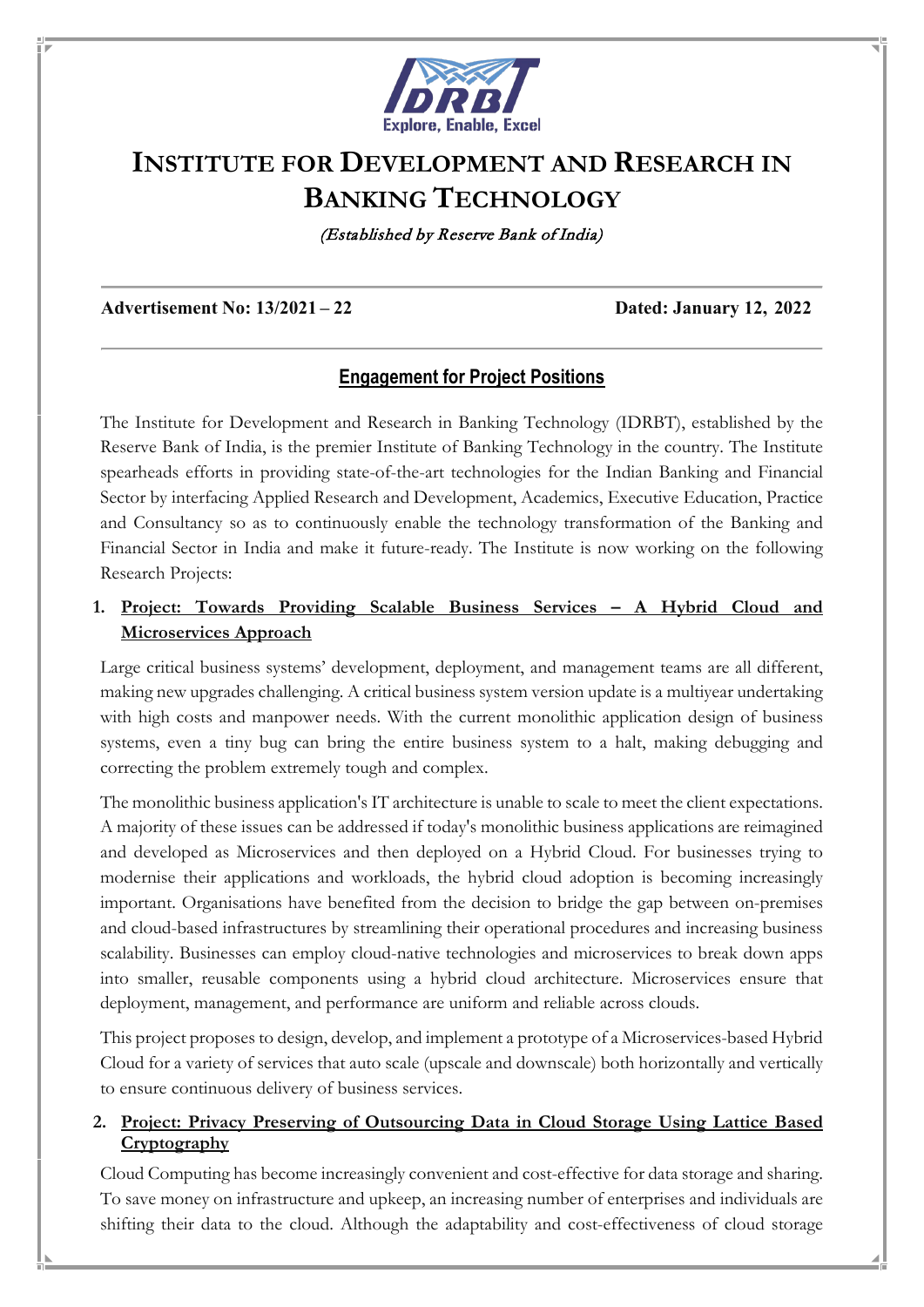

# **INSTITUTE FOR DEVELOPMENT AND RESEARCH IN BANKING TECHNOLOGY**

(Established by Reserve Bank of India)

#### **Advertisement No: 13/2021 – 22 Dated: January 12, 2022**

## **Engagement for Project Positions**

The Institute for Development and Research in Banking Technology (IDRBT), established by the Reserve Bank of India, is the premier Institute of Banking Technology in the country. The Institute spearheads efforts in providing state-of-the-art technologies for the Indian Banking and Financial Sector by interfacing Applied Research and Development, Academics, Executive Education, Practice and Consultancy so as to continuously enable the technology transformation of the Banking and Financial Sector in India and make it future-ready. The Institute is now working on the following Research Projects:

## **1. Project: Towards Providing Scalable Business Services – A Hybrid Cloud and Microservices Approach**

Large critical business systems' development, deployment, and management teams are all different, making new upgrades challenging. A critical business system version update is a multiyear undertaking with high costs and manpower needs. With the current monolithic application design of business systems, even a tiny bug can bring the entire business system to a halt, making debugging and correcting the problem extremely tough and complex.

The monolithic business application's IT architecture is unable to scale to meet the client expectations. A majority of these issues can be addressed if today's monolithic business applications are reimagined and developed as Microservices and then deployed on a Hybrid Cloud. For businesses trying to modernise their applications and workloads, the hybrid cloud adoption is becoming increasingly important. Organisations have benefited from the decision to bridge the gap between on-premises and cloud-based infrastructures by streamlining their operational procedures and increasing business scalability. Businesses can employ cloud-native technologies and microservices to break down apps into smaller, reusable components using a hybrid cloud architecture. Microservices ensure that deployment, management, and performance are uniform and reliable across clouds.

This project proposes to design, develop, and implement a prototype of a Microservices-based Hybrid Cloud for a variety of services that auto scale (upscale and downscale) both horizontally and vertically to ensure continuous delivery of business services.

## **2. Project: Privacy Preserving of Outsourcing Data in Cloud Storage Using Lattice Based Cryptography**

Cloud Computing has become increasingly convenient and cost-effective for data storage and sharing. To save money on infrastructure and upkeep, an increasing number of enterprises and individuals are shifting their data to the cloud. Although the adaptability and cost-effectiveness of cloud storage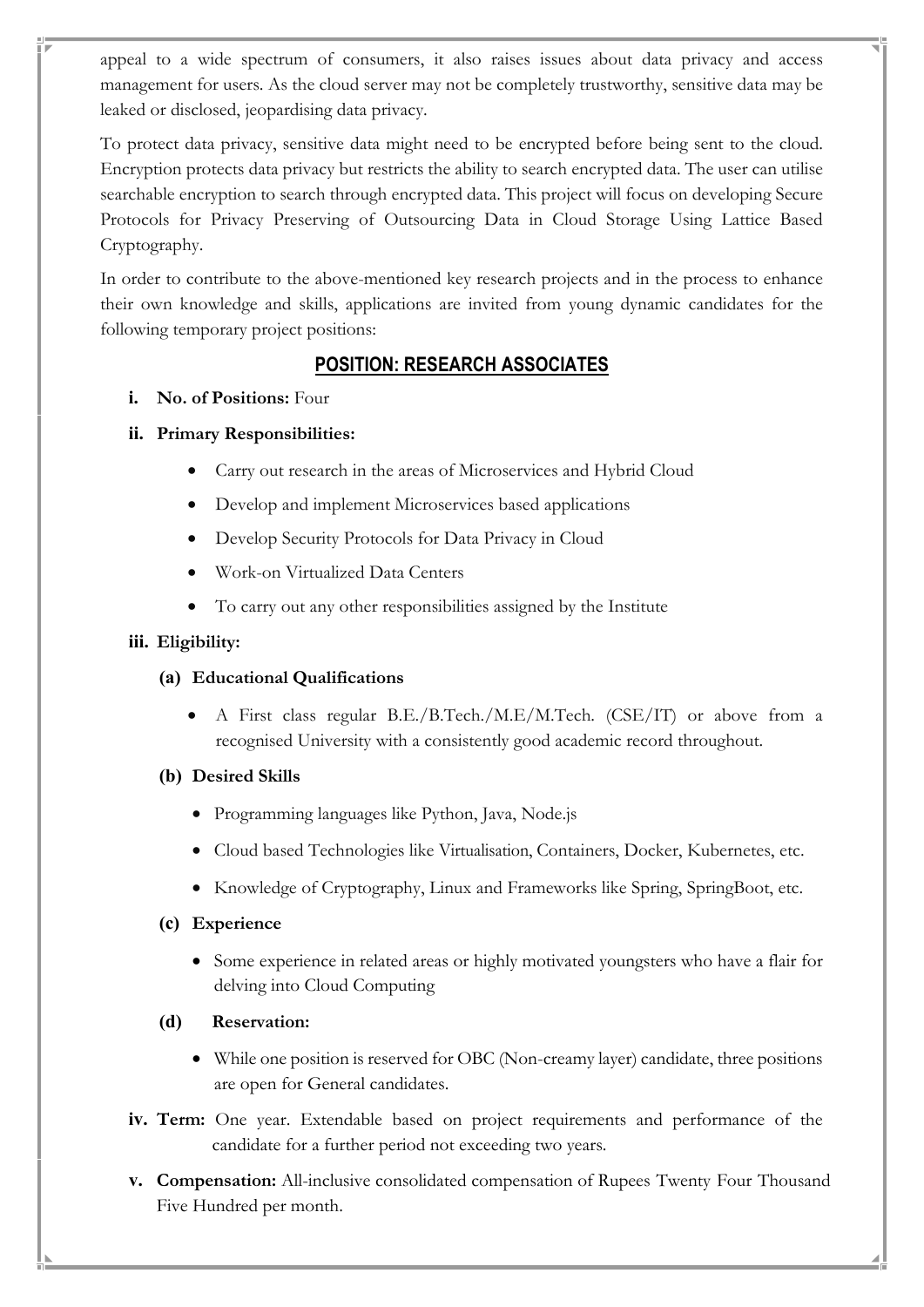appeal to a wide spectrum of consumers, it also raises issues about data privacy and access management for users. As the cloud server may not be completely trustworthy, sensitive data may be leaked or disclosed, jeopardising data privacy.

To protect data privacy, sensitive data might need to be encrypted before being sent to the cloud. Encryption protects data privacy but restricts the ability to search encrypted data. The user can utilise searchable encryption to search through encrypted data. This project will focus on developing Secure Protocols for Privacy Preserving of Outsourcing Data in Cloud Storage Using Lattice Based Cryptography.

In order to contribute to the above-mentioned key research projects and in the process to enhance their own knowledge and skills, applications are invited from young dynamic candidates for the following temporary project positions:

# **POSITION: RESEARCH ASSOCIATES**

**i. No. of Positions:** Four

## **ii. Primary Responsibilities:**

- Carry out research in the areas of Microservices and Hybrid Cloud
- Develop and implement Microservices based applications
- Develop Security Protocols for Data Privacy in Cloud
- Work-on Virtualized Data Centers
- To carry out any other responsibilities assigned by the Institute

## **iii. Eligibility:**

## **(a) Educational Qualifications**

• A First class regular B.E./B.Tech./M.E/M.Tech. (CSE/IT) or above from a recognised University with a consistently good academic record throughout.

## **(b) Desired Skills**

- Programming languages like Python, Java, Node.js
- Cloud based Technologies like Virtualisation, Containers, Docker, Kubernetes, etc.
- Knowledge of Cryptography, Linux and Frameworks like Spring, SpringBoot, etc.

## **(c) Experience**

• Some experience in related areas or highly motivated youngsters who have a flair for delving into Cloud Computing

## **(d) Reservation:**

- While one position is reserved for OBC (Non-creamy layer) candidate, three positions are open for General candidates.
- **iv. Term:** One year. Extendable based on project requirements and performance of the candidate for a further period not exceeding two years.
- **v. Compensation:** All-inclusive consolidated compensation of Rupees Twenty Four Thousand Five Hundred per month.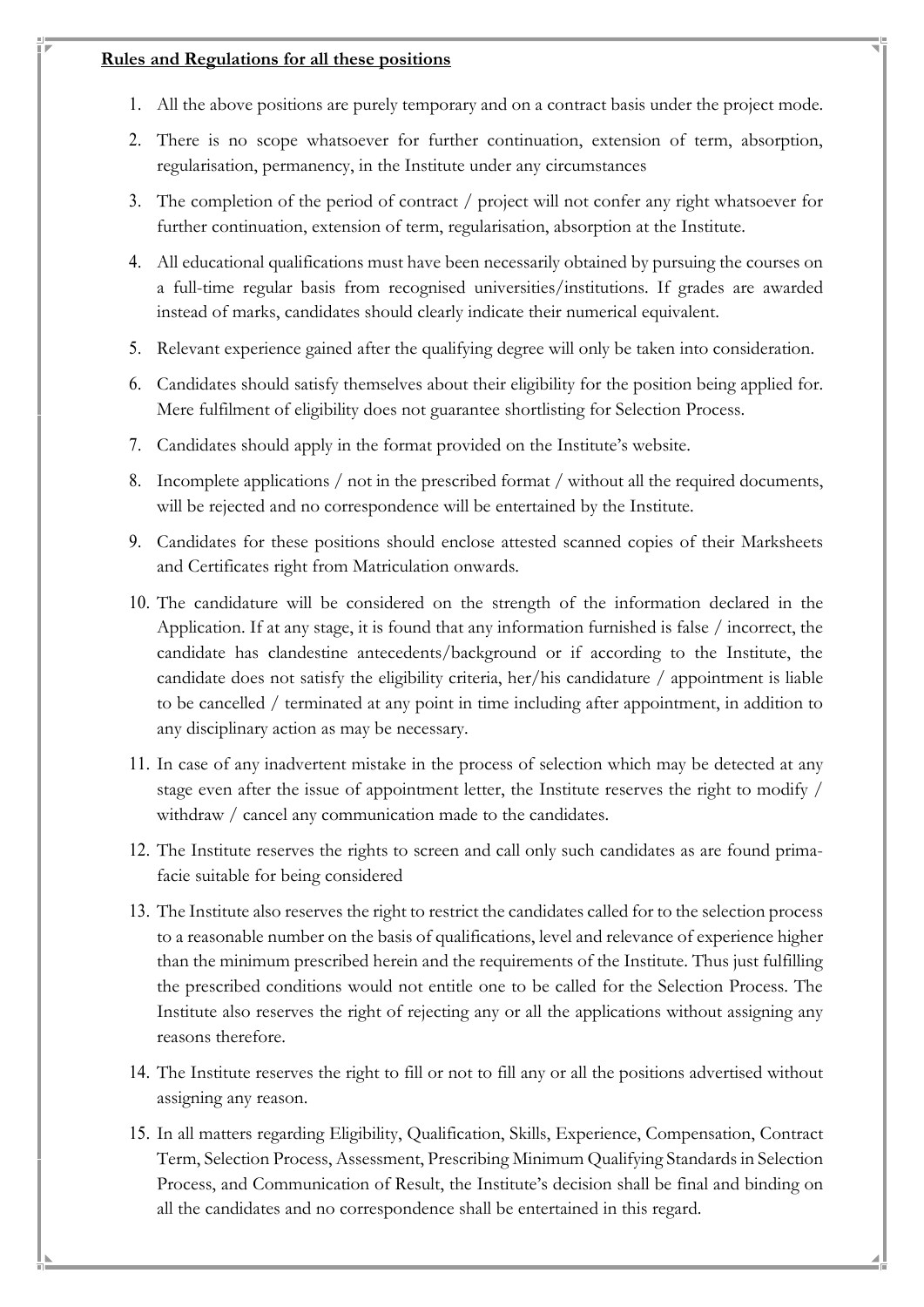#### **Rules and Regulations for all these positions**

- 1. All the above positions are purely temporary and on a contract basis under the project mode.
- 2. There is no scope whatsoever for further continuation, extension of term, absorption, regularisation, permanency, in the Institute under any circumstances
- 3. The completion of the period of contract / project will not confer any right whatsoever for further continuation, extension of term, regularisation, absorption at the Institute.
- 4. All educational qualifications must have been necessarily obtained by pursuing the courses on a full-time regular basis from recognised universities/institutions. If grades are awarded instead of marks, candidates should clearly indicate their numerical equivalent.
- 5. Relevant experience gained after the qualifying degree will only be taken into consideration.
- 6. Candidates should satisfy themselves about their eligibility for the position being applied for. Mere fulfilment of eligibility does not guarantee shortlisting for Selection Process.
- 7. Candidates should apply in the format provided on the Institute's website.
- 8. Incomplete applications / not in the prescribed format / without all the required documents, will be rejected and no correspondence will be entertained by the Institute.
- 9. Candidates for these positions should enclose attested scanned copies of their Marksheets and Certificates right from Matriculation onwards.
- 10. The candidature will be considered on the strength of the information declared in the Application. If at any stage, it is found that any information furnished is false / incorrect, the candidate has clandestine antecedents/background or if according to the Institute, the candidate does not satisfy the eligibility criteria, her/his candidature / appointment is liable to be cancelled / terminated at any point in time including after appointment, in addition to any disciplinary action as may be necessary.
- 11. In case of any inadvertent mistake in the process of selection which may be detected at any stage even after the issue of appointment letter, the Institute reserves the right to modify / withdraw / cancel any communication made to the candidates.
- 12. The Institute reserves the rights to screen and call only such candidates as are found primafacie suitable for being considered
- 13. The Institute also reserves the right to restrict the candidates called for to the selection process to a reasonable number on the basis of qualifications, level and relevance of experience higher than the minimum prescribed herein and the requirements of the Institute. Thus just fulfilling the prescribed conditions would not entitle one to be called for the Selection Process. The Institute also reserves the right of rejecting any or all the applications without assigning any reasons therefore.
- 14. The Institute reserves the right to fill or not to fill any or all the positions advertised without assigning any reason.
- 15. In all matters regarding Eligibility, Qualification, Skills, Experience, Compensation, Contract Term, Selection Process, Assessment, Prescribing Minimum Qualifying Standards in Selection Process, and Communication of Result, the Institute's decision shall be final and binding on all the candidates and no correspondence shall be entertained in this regard.